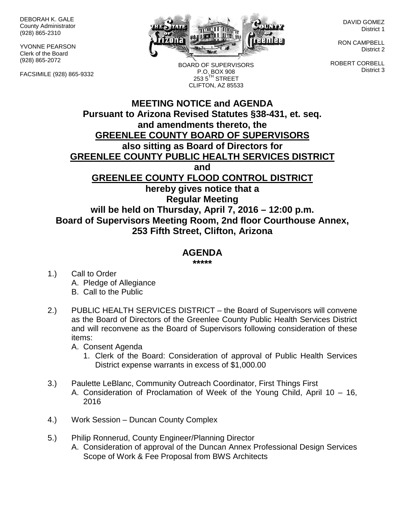DEBORAH K. GALE County Administrator (928) 865-2310

YVONNE PEARSON Clerk of the Board (928) 865-2072

FACSIMILE (928) 865-9332



BOARD OF SUPERVISORS P.O. BOX 908  $2535^{\text{TH}}$  STREET CLIFTON, AZ 85533

DAVID GOMEZ District 1

RON CAMPBELL District 2

ROBERT CORBELL District 3

## **MEETING NOTICE and AGENDA Pursuant to Arizona Revised Statutes §38-431, et. seq. and amendments thereto, the GREENLEE COUNTY BOARD OF SUPERVISORS also sitting as Board of Directors for GREENLEE COUNTY PUBLIC HEALTH SERVICES DISTRICT and GREENLEE COUNTY FLOOD CONTROL DISTRICT hereby gives notice that a Regular Meeting will be held on Thursday, April 7, 2016 – 12:00 p.m. Board of Supervisors Meeting Room, 2nd floor Courthouse Annex, 253 Fifth Street, Clifton, Arizona**

## **AGENDA**

**\*\*\*\*\***

- 1.) Call to Order A. Pledge of Allegiance B. Call to the Public
- 2.) PUBLIC HEALTH SERVICES DISTRICT the Board of Supervisors will convene as the Board of Directors of the Greenlee County Public Health Services District and will reconvene as the Board of Supervisors following consideration of these items:

A. Consent Agenda

- 1. Clerk of the Board: Consideration of approval of Public Health Services District expense warrants in excess of \$1,000.00
- 3.) Paulette LeBlanc, Community Outreach Coordinator, First Things First A. Consideration of Proclamation of Week of the Young Child, April 10 – 16, 2016
- 4.) Work Session Duncan County Complex
- 5.) Philip Ronnerud, County Engineer/Planning Director A. Consideration of approval of the Duncan Annex Professional Design Services Scope of Work & Fee Proposal from BWS Architects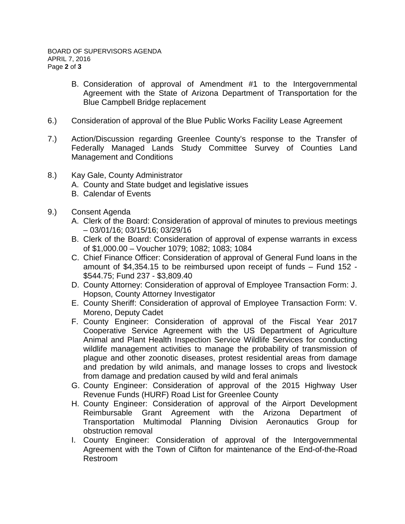- B. Consideration of approval of Amendment #1 to the Intergovernmental Agreement with the State of Arizona Department of Transportation for the Blue Campbell Bridge replacement
- 6.) Consideration of approval of the Blue Public Works Facility Lease Agreement
- 7.) Action/Discussion regarding Greenlee County's response to the Transfer of Federally Managed Lands Study Committee Survey of Counties Land Management and Conditions
- 8.) Kay Gale, County Administrator
	- A. County and State budget and legislative issues
	- B. Calendar of Events
- 9.) Consent Agenda
	- A. Clerk of the Board: Consideration of approval of minutes to previous meetings – 03/01/16; 03/15/16; 03/29/16
	- B. Clerk of the Board: Consideration of approval of expense warrants in excess of \$1,000.00 – Voucher 1079; 1082; 1083; 1084
	- C. Chief Finance Officer: Consideration of approval of General Fund loans in the amount of \$4,354.15 to be reimbursed upon receipt of funds – Fund 152 - \$544.75; Fund 237 - \$3,809.40
	- D. County Attorney: Consideration of approval of Employee Transaction Form: J. Hopson, County Attorney Investigator
	- E. County Sheriff: Consideration of approval of Employee Transaction Form: V. Moreno, Deputy Cadet
	- F. County Engineer: Consideration of approval of the Fiscal Year 2017 Cooperative Service Agreement with the US Department of Agriculture Animal and Plant Health Inspection Service Wildlife Services for conducting wildlife management activities to manage the probability of transmission of plague and other zoonotic diseases, protest residential areas from damage and predation by wild animals, and manage losses to crops and livestock from damage and predation caused by wild and feral animals
	- G. County Engineer: Consideration of approval of the 2015 Highway User Revenue Funds (HURF) Road List for Greenlee County
	- H. County Engineer: Consideration of approval of the Airport Development Reimbursable Grant Agreement with the Arizona Department of Transportation Multimodal Planning Division Aeronautics Group for obstruction removal
	- I. County Engineer: Consideration of approval of the Intergovernmental Agreement with the Town of Clifton for maintenance of the End-of-the-Road Restroom